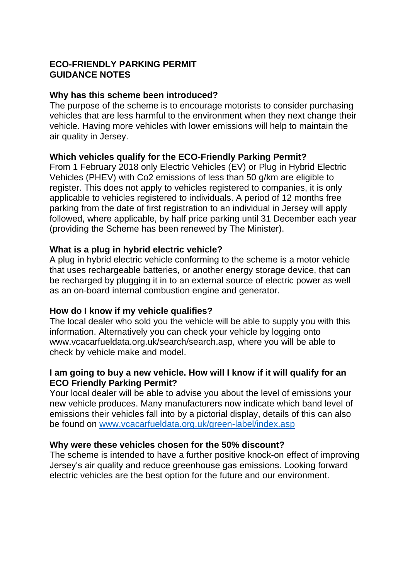# **ECO-FRIENDLY PARKING PERMIT GUIDANCE NOTES**

## **Why has this scheme been introduced?**

The purpose of the scheme is to encourage motorists to consider purchasing vehicles that are less harmful to the environment when they next change their vehicle. Having more vehicles with lower emissions will help to maintain the air quality in Jersey.

## **Which vehicles qualify for the ECO-Friendly Parking Permit?**

From 1 February 2018 only Electric Vehicles (EV) or Plug in Hybrid Electric Vehicles (PHEV) with Co2 emissions of less than 50 g/km are eligible to register. This does not apply to vehicles registered to companies, it is only applicable to vehicles registered to individuals. A period of 12 months free parking from the date of first registration to an individual in Jersey will apply followed, where applicable, by half price parking until 31 December each year (providing the Scheme has been renewed by The Minister).

## **What is a plug in hybrid electric vehicle?**

A plug in hybrid electric vehicle conforming to the scheme is a motor vehicle that uses rechargeable batteries, or another energy storage device, that can be recharged by plugging it in to an external source of electric power as well as an on-board internal combustion engine and generator.

#### **How do I know if my vehicle qualifies?**

The local dealer who sold you the vehicle will be able to supply you with this information. Alternatively you can check your vehicle by logging onto www.vcacarfueldata.org.uk/search/search.asp, where you will be able to check by vehicle make and model.

## **I am going to buy a new vehicle. How will I know if it will qualify for an ECO Friendly Parking Permit?**

Your local dealer will be able to advise you about the level of emissions your new vehicle produces. Many manufacturers now indicate which band level of emissions their vehicles fall into by a pictorial display, details of this can also be found on [www.vcacarfueldata.org.uk/green-label/index.asp](http://www.vcacarfueldata.org.uk/green-label/index.asp)

#### **Why were these vehicles chosen for the 50% discount?**

The scheme is intended to have a further positive knock-on effect of improving Jersey's air quality and reduce greenhouse gas emissions. Looking forward electric vehicles are the best option for the future and our environment.